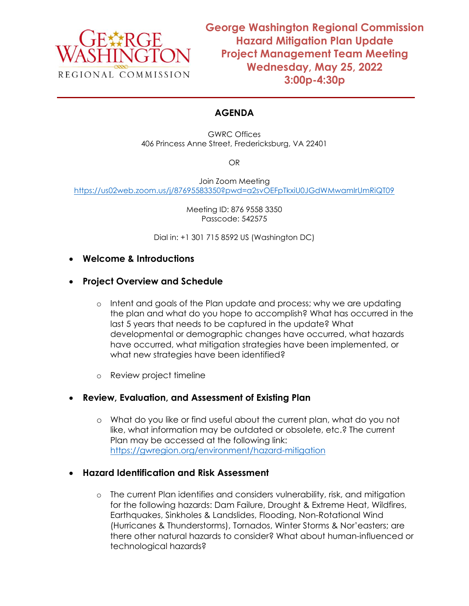

**George Washington Regional Commission Hazard Mitigation Plan Update Project Management Team Meeting Wednesday, May 25, 2022 3:00p-4:30p**

## **AGENDA**

GWRC Offices 406 Princess Anne Street, Fredericksburg, VA 22401

OR

Join Zoom Meeting <https://us02web.zoom.us/j/87695583350?pwd=a2svOEFpTkxiU0JGdWMwamIrUmRiQT09>

> Meeting ID: 876 9558 3350 Passcode: 542575

Dial in: +1 301 715 8592 US (Washington DC)

• **Welcome & Introductions**

## • **Project Overview and Schedule**

- o Intent and goals of the Plan update and process; why we are updating the plan and what do you hope to accomplish? What has occurred in the last 5 years that needs to be captured in the update? What developmental or demographic changes have occurred, what hazards have occurred, what mitigation strategies have been implemented, or what new strategies have been identified?
- o Review project timeline

## • **Review, Evaluation, and Assessment of Existing Plan**

- o What do you like or find useful about the current plan, what do you not like, what information may be outdated or obsolete, etc.? The current Plan may be accessed at the following link: <https://gwregion.org/environment/hazard-mitigation>
- **Hazard Identification and Risk Assessment**
	- o The current Plan identifies and considers vulnerability, risk, and mitigation for the following hazards: Dam Failure, Drought & Extreme Heat, Wildfires, Earthquakes, Sinkholes & Landslides, Flooding, Non-Rotational Wind (Hurricanes & Thunderstorms), Tornados, Winter Storms & Nor'easters; are there other natural hazards to consider? What about human-influenced or technological hazards?